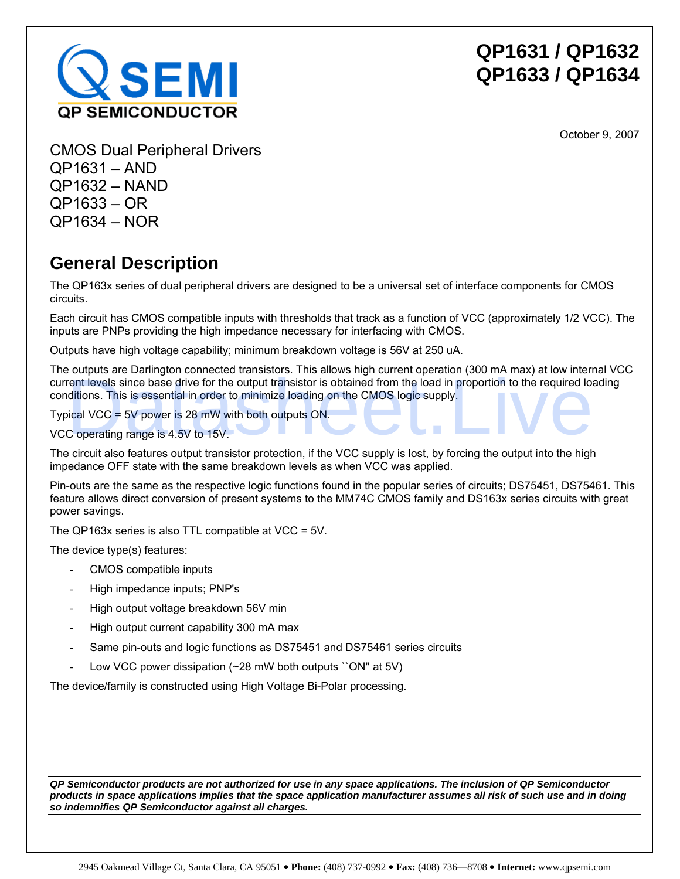

October 9, 2007

CMOS Dual Peripheral Drivers QP1631 – AND QP1632 – NAND QP1633 – OR QP1634 – NOR

## **General Description**

The QP163x series of dual peripheral drivers are designed to be a universal set of interface components for CMOS circuits.

Each circuit has CMOS compatible inputs with thresholds that track as a function of VCC (approximately 1/2 VCC). The inputs are PNPs providing the high impedance necessary for interfacing with CMOS.

Outputs have high voltage capability; minimum breakdown voltage is 56V at 250 uA.

The outputs are Darlington connected transistors. This allows high current operation (300 mA max) at low internal VCC current levels since base drive for the output transistor is obtained from the load in proportion to the required loading conditions. This is essential in order to minimize loading on the CMOS logic supply.

Typical VCC = 5V power is 28 mW with both outputs ON.

VCC operating range is 4.5V to 15V.

The circuit also features output transistor protection, if the VCC supply is lost, by forcing the output into the high impedance OFF state with the same breakdown levels as when VCC was applied.

Pin-outs are the same as the respective logic functions found in the popular series of circuits; DS75451, DS75461. This feature allows direct conversion of present systems to the MM74C CMOS family and DS163x series circuits with great power savings. **Example 12** is the minimum of the consistent and the consistent and the bottom in experiment in the consistent of the consistent in the consistent in the charges. The second in the properties of the charges of typical VCC

The QP163x series is also TTL compatible at VCC = 5V.

The device type(s) features:

- CMOS compatible inputs
- High impedance inputs; PNP's
- High output voltage breakdown 56V min
- High output current capability 300 mA max
- Same pin-outs and logic functions as DS75451 and DS75461 series circuits
- Low VCC power dissipation (~28 mW both outputs ``ON" at 5V)

The device/family is constructed using High Voltage Bi-Polar processing.

*QP Semiconductor products are not authorized for use in any space applications. The inclusion of QP Semiconductor products in space applications implies that the space application manufacturer assumes all risk of such use and in doing*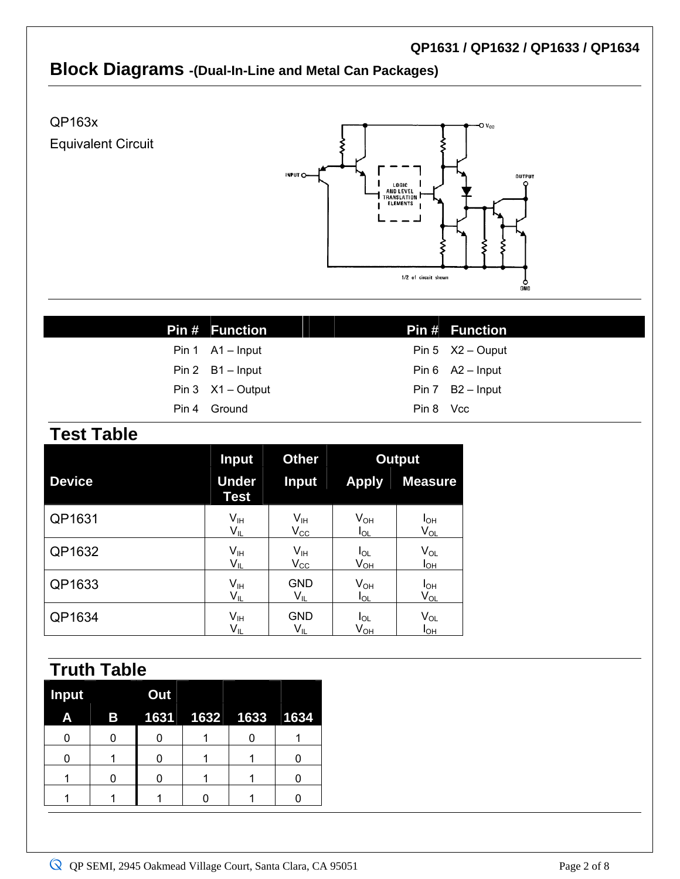### **Block Diagrams -(Dual-In-Line and Metal Can Packages)**

QP163x Equivalent Circuit



| <b>Pin # Function</b>     |           | <b>Pin # Function</b> |
|---------------------------|-----------|-----------------------|
| Pin $1$ A1 - Input        |           | Pin 5 $X2 -$ Ouput    |
| Pin 2 B1 - Input          |           | Pin $6$ A2 - Input    |
| Pin $3 \times 1 -$ Output |           | Pin 7 B2 - Input      |
| Pin 4 Ground              | Pin 8 Vcc |                       |

#### **Test Table**

|               | <b>Input</b>                | <b>Other</b>               | <b>Output</b> |                |
|---------------|-----------------------------|----------------------------|---------------|----------------|
| <b>Device</b> | <b>Under</b><br><b>Test</b> | <b>Input</b>               | <b>Apply</b>  | <b>Measure</b> |
| QP1631        | V <sub>IH</sub>             | $V_{\sf IH}$               | $V_{OH}$      | $I_{OH}$       |
|               | $V_{IL}$                    | $\rm V_{\rm CC}$           | $I_{OL}$      | $V_{OL}$       |
| QP1632        | V <sub>IH</sub>             | $V_{\text{IH}}$            | $I_{OL}$      | $V_{OL}$       |
|               | $V_{IL}$                    | $V_{\rm CC}$               | $V_{OH}$      | $I_{OH}$       |
| QP1633        | V <sub>IH</sub>             | <b>GND</b>                 | $V_{OH}$      | $I_{OH}$       |
|               | $V_{IL}$                    | $V_{IL}$                   | $I_{OL}$      | $V_{OL}$       |
| QP1634        | $V_{\text{IH}}$             | <b>GND</b>                 | $I_{OL}$      | $V_{OL}$       |
|               | V <sub>IL</sub>             | $\mathsf{V}_{\mathsf{IL}}$ | $V_{OH}$      | $I_{OH}$       |

# **Truth Table**

| <b>Input</b> |           | Out |                        |  |
|--------------|-----------|-----|------------------------|--|
| Α            | <b>By</b> |     | 1631  1632  1633  1634 |  |
|              |           |     |                        |  |
|              |           |     |                        |  |
|              |           |     |                        |  |
|              |           |     |                        |  |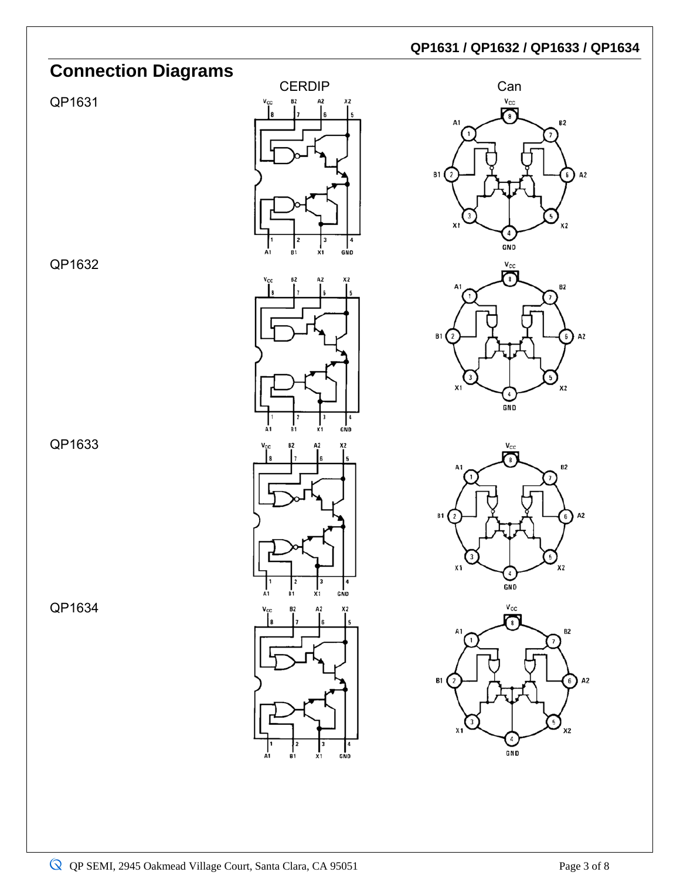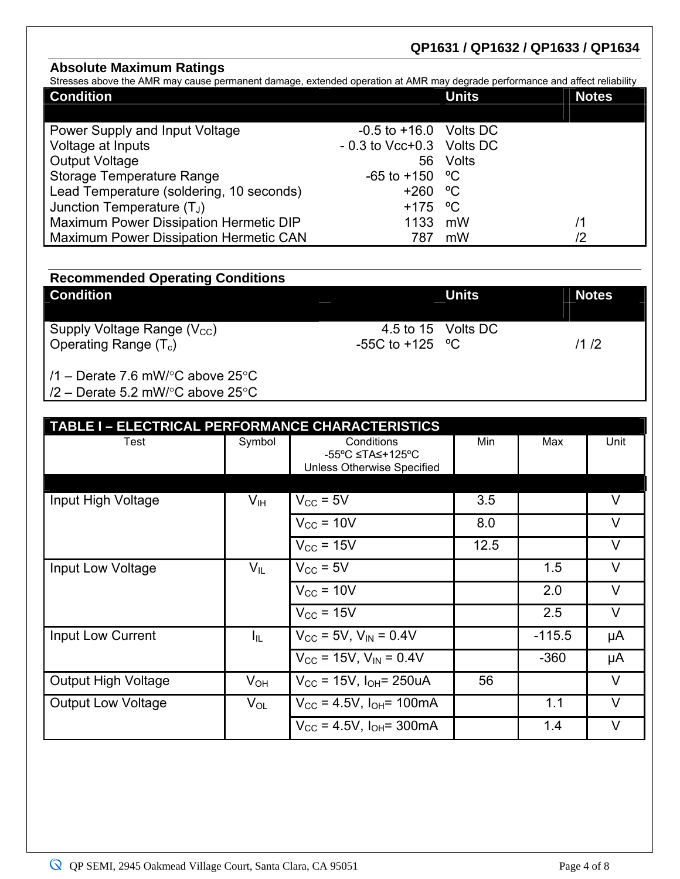#### **Absolute Maximum Ratings**

Stresses above the AMR may cause permanent damage, extended operation at AMR may degrade performance and affect reliability

|     | <b>Units</b> | <b>Notes</b>                                                                                                              |
|-----|--------------|---------------------------------------------------------------------------------------------------------------------------|
|     |              |                                                                                                                           |
|     |              |                                                                                                                           |
|     |              |                                                                                                                           |
| 56  |              |                                                                                                                           |
|     |              |                                                                                                                           |
|     |              |                                                                                                                           |
|     |              |                                                                                                                           |
|     | mW           | /1                                                                                                                        |
| 787 | mW           | /2                                                                                                                        |
|     |              | $-0.5$ to $+16.0$ Volts DC<br>$-0.3$ to Vcc+0.3 Volts DC<br>Volts<br>$-65$ to $+150$ °C<br>$+260 °C$<br>$+175$ °C<br>1133 |

| <b>Condition</b>                         |                     | <b>Units</b>       | <b>Notes</b> |
|------------------------------------------|---------------------|--------------------|--------------|
| Supply Voltage Range ( $V_{\text{CC}}$ ) |                     | 4.5 to 15 Volts DC |              |
| Operating Range $(T_c)$                  | $-55C$ to $+125$ °C |                    | 11/2         |

/2 – Derate 5.2 mW/°C above 25°C

| TABLE I - ELECTRICAL PERFORMANCE CHARACTERISTICS |                 |                                                              |      |          |        |
|--------------------------------------------------|-----------------|--------------------------------------------------------------|------|----------|--------|
| Test                                             | Symbol          | Conditions<br>-55°C ≤TA≤+125°C<br>Unless Otherwise Specified | Min  | Max      | Unit   |
|                                                  |                 |                                                              |      |          |        |
| Input High Voltage                               | V <sub>IH</sub> | $V_{\text{CC}}$ = 5V                                         | 3.5  |          | $\vee$ |
|                                                  |                 | $V_{\text{CC}}$ = 10V                                        | 8.0  |          | $\vee$ |
|                                                  |                 | $V_{\text{CC}}$ = 15V                                        | 12.5 |          | $\vee$ |
| Input Low Voltage                                | $V_{IL}$        | $V_{\text{CC}}$ = 5V                                         |      | 1.5      | $\vee$ |
|                                                  |                 | $V_{\text{CC}}$ = 10V                                        |      | 2.0      | $\vee$ |
|                                                  |                 | $V_{\text{CC}}$ = 15V                                        |      | 2.5      | $\vee$ |
| Input Low Current                                | $I_{\rm IL}$    | $V_{CC}$ = 5V, $V_{IN}$ = 0.4V                               |      | $-115.5$ | μA     |
|                                                  |                 | $V_{CC}$ = 15V, $V_{IN}$ = 0.4V                              |      | $-360$   | μA     |
| <b>Output High Voltage</b>                       | $V_{OH}$        | $V_{\text{CC}}$ = 15V, $I_{\text{OH}}$ = 250uA               | 56   |          | V      |
| <b>Output Low Voltage</b>                        | $V_{OL}$        | $V_{\text{CC}}$ = 4.5V, $I_{\text{OH}}$ = 100mA              |      | 1.1      | $\vee$ |
|                                                  |                 | $V_{\text{CC}}$ = 4.5V, $I_{\text{OH}}$ = 300mA              |      | 1.4      | $\vee$ |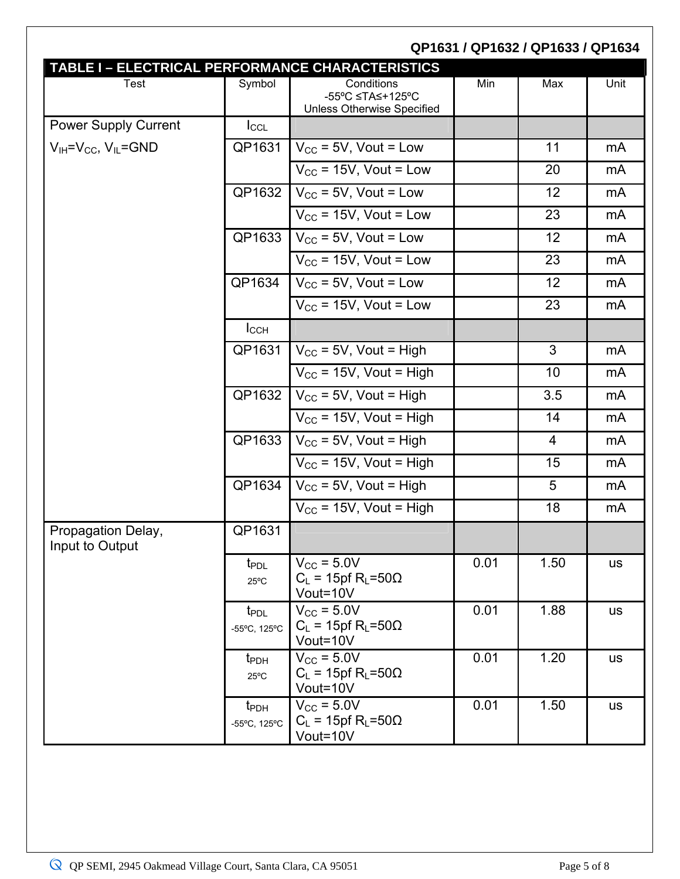|                                       |                                    |                                                                                                                         |      | QP1631 / QP1632 / QP1633 / QP1634 |           |
|---------------------------------------|------------------------------------|-------------------------------------------------------------------------------------------------------------------------|------|-----------------------------------|-----------|
| <b>Test</b>                           | Symbol                             | TABLE I - ELECTRICAL PERFORMANCE CHARACTERISTICS<br>Conditions<br>-55°C ≤TA≤+125°C<br><b>Unless Otherwise Specified</b> | Min  | Max                               | Unit      |
| <b>Power Supply Current</b>           | $I_{\text{CCL}}$                   |                                                                                                                         |      |                                   |           |
| $V_{IH} = V_{CC}$ , $V_{IL} = GND$    | QP1631                             | $V_{CC}$ = 5V, Vout = Low                                                                                               |      | 11                                | mA        |
|                                       |                                    | $V_{CC}$ = 15V, Vout = Low                                                                                              |      | 20                                | mA        |
|                                       | QP1632                             | $V_{CC}$ = 5V, Vout = Low                                                                                               |      | 12                                | mA        |
|                                       |                                    | $V_{\text{CC}}$ = 15V, Vout = Low                                                                                       |      | 23                                | mA        |
|                                       | QP1633                             | $V_{\text{CC}}$ = 5V, Vout = Low                                                                                        |      | 12                                | mA        |
|                                       |                                    | $V_{CC}$ = 15V, Vout = Low                                                                                              |      | 23                                | mA        |
|                                       | QP1634                             | $V_{\text{CC}}$ = 5V, Vout = Low                                                                                        |      | 12                                | mA        |
|                                       |                                    | $\overline{V_{CC}}$ = 15V, Vout = Low                                                                                   |      | 23                                | mA        |
|                                       | $I_{CCH}$                          |                                                                                                                         |      |                                   |           |
|                                       | QP1631                             | $V_{\text{CC}}$ = 5V, Vout = High                                                                                       |      | $\mathbf{3}$                      | mA        |
|                                       |                                    | $V_{CC}$ = 15V, Vout = High                                                                                             |      | 10                                | mA        |
|                                       | QP1632                             | $V_{CC}$ = 5V, Vout = High                                                                                              |      | 3.5                               | mA        |
|                                       |                                    | $V_{CC}$ = 15V, Vout = High                                                                                             |      | 14                                | mA        |
|                                       | QP1633                             | $V_{CC}$ = 5V, Vout = High                                                                                              |      | $\overline{4}$                    | mA        |
|                                       |                                    | $V_{CC}$ = 15V, Vout = High                                                                                             |      | 15                                | mA        |
|                                       | QP1634                             | $V_{CC}$ = 5V, Vout = High                                                                                              |      | 5                                 | mA        |
|                                       |                                    | $V_{\text{CC}}$ = 15V, Vout = High                                                                                      |      | 18                                | mA        |
| Propagation Delay,<br>Input to Output | QP1631                             |                                                                                                                         |      |                                   |           |
|                                       | t <sub>PDL</sub><br>$25^{\circ}$ C | $V_{\text{CC}}$ = 5.0V<br>$C_L$ = 15pf R <sub>L</sub> =50 $\Omega$<br>Vout=10V                                          | 0.01 | 1.50                              | <b>us</b> |
|                                       | t <sub>PDL</sub><br>-55°C, 125°C   | $V_{\text{CC}}$ = 5.0V<br>$C_L$ = 15pf R <sub>L</sub> =50 $\Omega$<br>Vout=10V                                          | 0.01 | 1.88                              | <b>us</b> |
|                                       | t <sub>PDH</sub><br>$25^{\circ}$ C | $V_{CC}$ = 5.0V<br>$C_L$ = 15pf R <sub>L</sub> =50 $\Omega$<br>Vout=10V                                                 | 0.01 | 1.20                              | <b>us</b> |
|                                       | t <sub>PDH</sub><br>-55°C, 125°C   | $V_{\text{CC}}$ = 5.0V<br>$C_L$ = 15pf R <sub>L</sub> =50 $\Omega$<br>Vout=10V                                          | 0.01 | 1.50                              | <b>us</b> |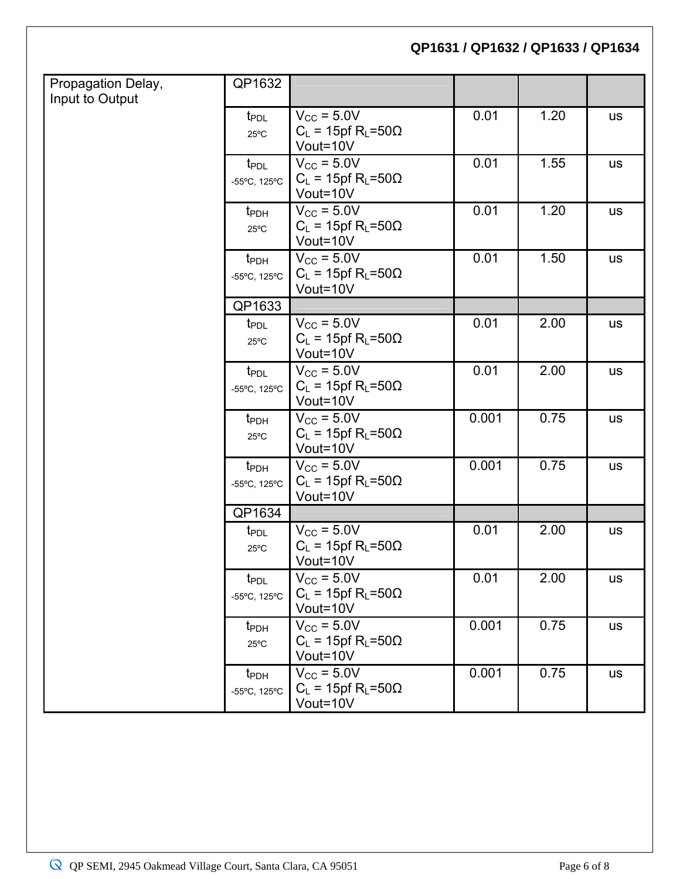| Propagation Delay, | QP1632                           |                                                                    |       |      |           |
|--------------------|----------------------------------|--------------------------------------------------------------------|-------|------|-----------|
| Input to Output    |                                  |                                                                    |       |      |           |
|                    | t <sub>PDL</sub>                 | $V_{\text{CC}}$ = 5.0V                                             | 0.01  | 1.20 | <b>us</b> |
|                    | $25^{\circ}$ C                   | $C_L$ = 15pf R <sub>L</sub> =50 $\Omega$<br>Vout=10V               |       |      |           |
|                    |                                  | $V_{\text{CC}}$ = 5.0V                                             | 0.01  | 1.55 |           |
|                    | t <sub>PDL</sub>                 | $C_L$ = 15pf R <sub>L</sub> =50 $\Omega$                           |       |      | <b>us</b> |
|                    | -55°C, 125°C                     | Vout=10V                                                           |       |      |           |
|                    | t <sub>PDH</sub>                 | $V_{\text{CC}}$ = 5.0V                                             | 0.01  | 1.20 | <b>us</b> |
|                    | $25^{\circ}$ C                   | $C_L$ = 15pf R <sub>L</sub> =50 $\Omega$                           |       |      |           |
|                    |                                  | Vout=10V                                                           |       |      |           |
|                    | $t_{\text{PDH}}$                 | $V_{\text{CC}}$ = 5.0V                                             | 0.01  | 1.50 | <b>us</b> |
|                    | -55°C, 125°C                     | $C_L$ = 15pf R <sub>L</sub> =50 $\Omega$                           |       |      |           |
|                    |                                  | Vout=10V                                                           |       |      |           |
|                    | QP1633                           |                                                                    |       |      |           |
|                    | t <sub>PDL</sub>                 | $V_{\text{CC}}$ = 5.0V<br>$C_L$ = 15pf R <sub>L</sub> =50 $\Omega$ | 0.01  | 2.00 | <b>us</b> |
|                    | $25^{\circ}$ C                   | Vout=10V                                                           |       |      |           |
|                    | t <sub>PDL</sub>                 | $V_{\text{CC}}$ = 5.0V                                             | 0.01  | 2.00 | <b>us</b> |
|                    | -55°C, 125°C                     | $C_L$ = 15pf R <sub>L</sub> =50 $\Omega$                           |       |      |           |
|                    |                                  | Vout=10V                                                           |       |      |           |
|                    | $t_{\text{PDH}}$                 | $V_{\text{CC}}$ = 5.0V                                             | 0.001 | 0.75 | <b>us</b> |
|                    | $25^{\circ}$ C                   | $C_L$ = 15pf R <sub>L</sub> =50 $\Omega$                           |       |      |           |
|                    |                                  | Vout=10V                                                           |       |      |           |
|                    | $t_{\text{PDH}}$                 | $V_{\text{CC}}$ = 5.0V                                             | 0.001 | 0.75 | <b>us</b> |
|                    | -55°C, 125°C                     | $C_L$ = 15pf R <sub>L</sub> =50 $\Omega$<br>Vout=10V               |       |      |           |
|                    | QP1634                           |                                                                    |       |      |           |
|                    | t <sub>PDL</sub>                 | $V_{\text{CC}}$ = 5.0V                                             | 0.01  | 2.00 | <b>us</b> |
|                    | $25^{\circ}$ C                   | $C_L$ = 15pf R <sub>L</sub> =50 $\Omega$                           |       |      |           |
|                    |                                  | Vout=10V                                                           |       |      |           |
|                    | t <sub>PDL</sub>                 | $V_{\text{CC}}$ = 5.0V                                             | 0.01  | 2.00 | <b>us</b> |
|                    | -55°C, 125°C                     | $C_L$ = 15pf R <sub>L</sub> =50 $\Omega$                           |       |      |           |
|                    |                                  | Vout=10V                                                           |       |      |           |
|                    | t <sub>PDH</sub>                 | $V_{\text{CC}}$ = 5.0V                                             | 0.001 | 0.75 | <b>us</b> |
|                    | $25^{\circ}$ C                   | $C_L$ = 15pf R <sub>L</sub> =50 $\Omega$<br>Vout=10V               |       |      |           |
|                    |                                  | $V_{\text{CC}}$ = 5.0V                                             | 0.001 | 0.75 |           |
|                    | t <sub>PDH</sub><br>-55°C, 125°C | $C_L$ = 15pf R <sub>L</sub> =50 $\Omega$                           |       |      | <b>us</b> |
|                    |                                  | Vout=10V                                                           |       |      |           |
|                    |                                  |                                                                    |       |      |           |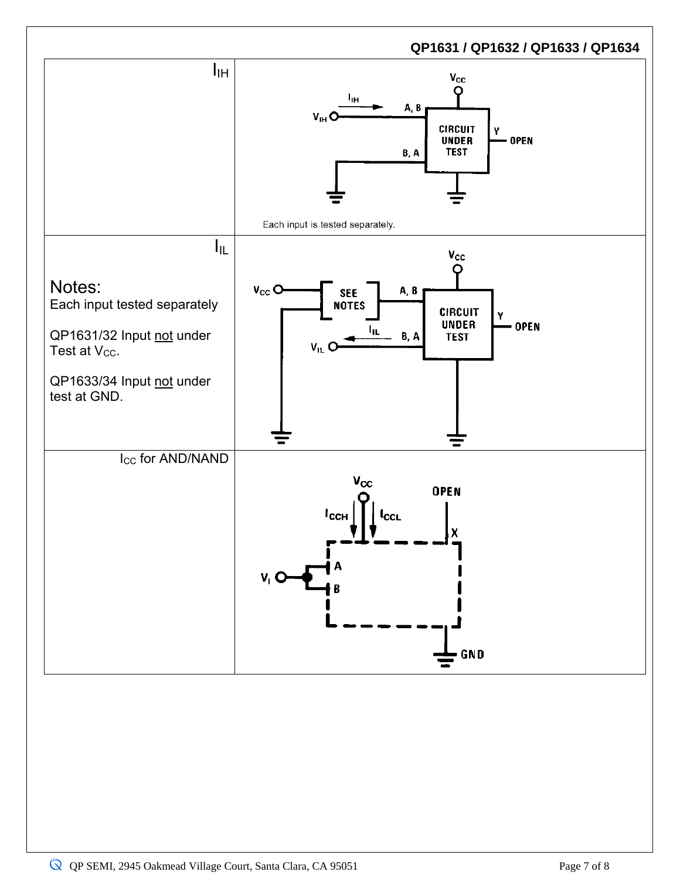